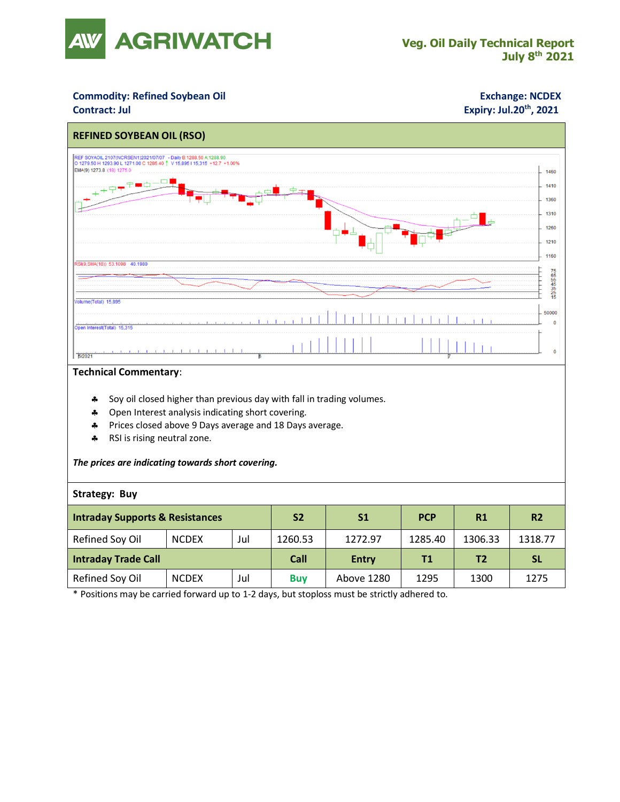

## **Commodity: Refined Soybean Oil <b>Exchange: NCDEX**

## **Contract: Jul Expiry: Jul.20<sup>th</sup>, 2021**



#### **Technical Commentary**:

- \* Soy oil closed higher than previous day with fall in trading volumes.
- \* Open Interest analysis indicating short covering.
- Prices closed above 9 Days average and 18 Days average.
- \* RSI is rising neutral zone.

#### *The prices are indicating towards short covering.*

### **Strategy: Buy**

| <b>Intraday Supports &amp; Resistances</b> |              |     | <b>S2</b>  | S <sub>1</sub> | <b>PCP</b> | R1      | R <sub>2</sub> |
|--------------------------------------------|--------------|-----|------------|----------------|------------|---------|----------------|
| Refined Soy Oil                            | <b>NCDEX</b> | Jul | 1260.53    | 1272.97        | 1285.40    | 1306.33 | 1318.77        |
| <b>Intraday Trade Call</b>                 |              |     | Call       | <b>Entry</b>   | Τ1         | Τ2      | <b>SL</b>      |
| Refined Soy Oil                            | <b>NCDEX</b> | Jul | <b>Buv</b> | Above 1280     | 1295       | 1300    | 1275           |

\* Positions may be carried forward up to 1-2 days, but stoploss must be strictly adhered to.